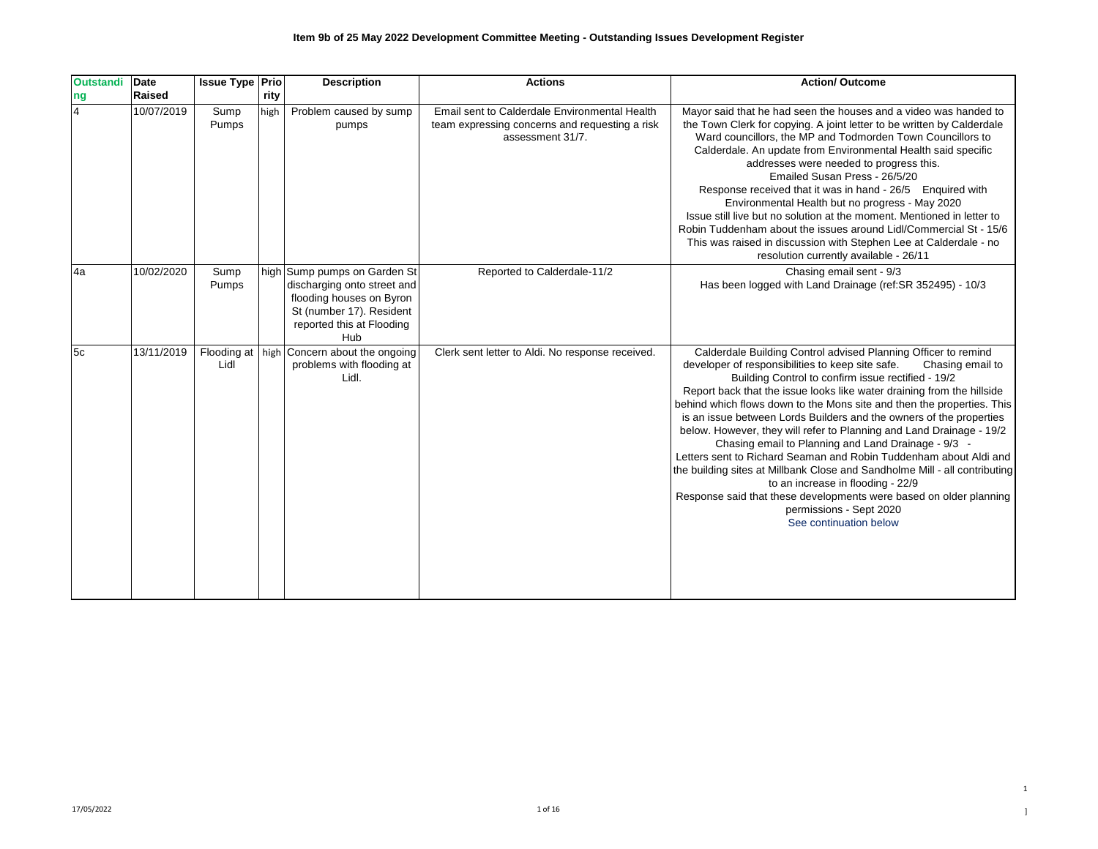| <b>Outstandi</b> | Date       | <b>Issue Type Prio</b> |      | <b>Description</b>                                                                                                                                      | <b>Actions</b>                                                                                                      | <b>Action/ Outcome</b>                                                                                                                                                                                                                                                                                                                                                                                                                                                                                                                                                                                                                                                                                                                                                                                                                                                    |
|------------------|------------|------------------------|------|---------------------------------------------------------------------------------------------------------------------------------------------------------|---------------------------------------------------------------------------------------------------------------------|---------------------------------------------------------------------------------------------------------------------------------------------------------------------------------------------------------------------------------------------------------------------------------------------------------------------------------------------------------------------------------------------------------------------------------------------------------------------------------------------------------------------------------------------------------------------------------------------------------------------------------------------------------------------------------------------------------------------------------------------------------------------------------------------------------------------------------------------------------------------------|
| ng               | Raised     |                        | rity |                                                                                                                                                         |                                                                                                                     |                                                                                                                                                                                                                                                                                                                                                                                                                                                                                                                                                                                                                                                                                                                                                                                                                                                                           |
| l4               | 10/07/2019 | Sump<br>Pumps          | high | Problem caused by sump<br>pumps                                                                                                                         | Email sent to Calderdale Environmental Health<br>team expressing concerns and requesting a risk<br>assessment 31/7. | Mayor said that he had seen the houses and a video was handed to<br>the Town Clerk for copying. A joint letter to be written by Calderdale<br>Ward councillors, the MP and Todmorden Town Councillors to<br>Calderdale. An update from Environmental Health said specific<br>addresses were needed to progress this.<br>Emailed Susan Press - 26/5/20<br>Response received that it was in hand - 26/5 Enquired with<br>Environmental Health but no progress - May 2020<br>Issue still live but no solution at the moment. Mentioned in letter to<br>Robin Tuddenham about the issues around Lidl/Commercial St - 15/6<br>This was raised in discussion with Stephen Lee at Calderdale - no<br>resolution currently available - 26/11                                                                                                                                      |
| l4a              | 10/02/2020 | Sump<br>Pumps          |      | high Sump pumps on Garden St<br>discharging onto street and<br>flooding houses on Byron<br>St (number 17). Resident<br>reported this at Flooding<br>Hub | Reported to Calderdale-11/2                                                                                         | Chasing email sent - 9/3<br>Has been logged with Land Drainage (ref:SR 352495) - 10/3                                                                                                                                                                                                                                                                                                                                                                                                                                                                                                                                                                                                                                                                                                                                                                                     |
| l5c              | 13/11/2019 | Lidl                   |      | Flooding at   high Concern about the ongoing<br>problems with flooding at<br>Lidl.                                                                      | Clerk sent letter to Aldi. No response received.                                                                    | Calderdale Building Control advised Planning Officer to remind<br>developer of responsibilities to keep site safe.<br>Chasing email to<br>Building Control to confirm issue rectified - 19/2<br>Report back that the issue looks like water draining from the hillside<br>behind which flows down to the Mons site and then the properties. This<br>is an issue between Lords Builders and the owners of the properties<br>below. However, they will refer to Planning and Land Drainage - 19/2<br>Chasing email to Planning and Land Drainage - 9/3 -<br>Letters sent to Richard Seaman and Robin Tuddenham about Aldi and<br>the building sites at Millbank Close and Sandholme Mill - all contributing<br>to an increase in flooding - 22/9<br>Response said that these developments were based on older planning<br>permissions - Sept 2020<br>See continuation below |

## **Item 9b of 25 May 2022 Development Committee Meeting - Outstanding Issues Development Register**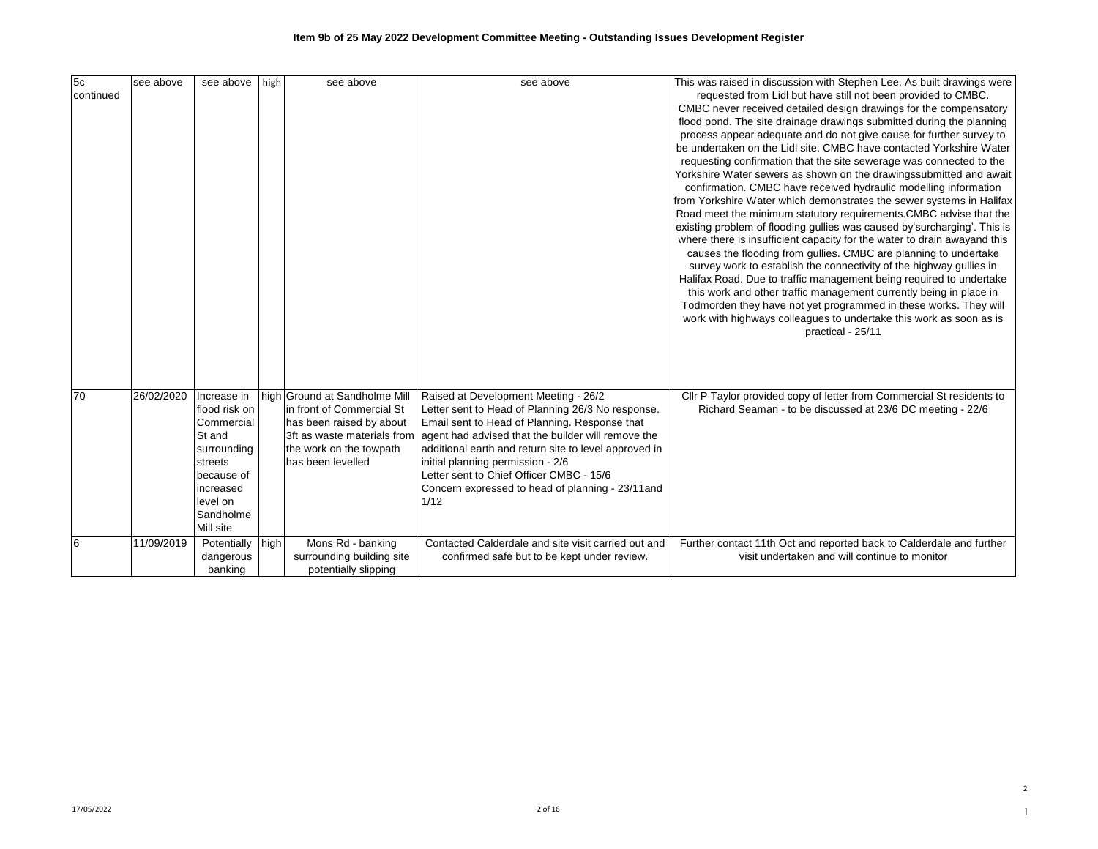| 5c<br>continued | see above  | see above                                                                                                                                       | high | see above                                                                                                                                                             | see above                                                                                                                                                                                                                                                                                                                                                                                               | This was raised in discussion with Stephen Lee. As built drawings were<br>requested from Lidl but have still not been provided to CMBC.<br>CMBC never received detailed design drawings for the compensatory<br>flood pond. The site drainage drawings submitted during the planning<br>process appear adequate and do not give cause for further survey to<br>be undertaken on the Lidl site. CMBC have contacted Yorkshire Water<br>requesting confirmation that the site sewerage was connected to the<br>Yorkshire Water sewers as shown on the drawingssubmitted and await<br>confirmation. CMBC have received hydraulic modelling information<br>from Yorkshire Water which demonstrates the sewer systems in Halifax<br>Road meet the minimum statutory requirements. CMBC advise that the<br>existing problem of flooding gullies was caused by'surcharging'. This is<br>where there is insufficient capacity for the water to drain awayand this<br>causes the flooding from gullies. CMBC are planning to undertake<br>survey work to establish the connectivity of the highway gullies in<br>Halifax Road. Due to traffic management being required to undertake<br>this work and other traffic management currently being in place in<br>Todmorden they have not yet programmed in these works. They will<br>work with highways colleagues to undertake this work as soon as is<br>practical - 25/11 |
|-----------------|------------|-------------------------------------------------------------------------------------------------------------------------------------------------|------|-----------------------------------------------------------------------------------------------------------------------------------------------------------------------|---------------------------------------------------------------------------------------------------------------------------------------------------------------------------------------------------------------------------------------------------------------------------------------------------------------------------------------------------------------------------------------------------------|------------------------------------------------------------------------------------------------------------------------------------------------------------------------------------------------------------------------------------------------------------------------------------------------------------------------------------------------------------------------------------------------------------------------------------------------------------------------------------------------------------------------------------------------------------------------------------------------------------------------------------------------------------------------------------------------------------------------------------------------------------------------------------------------------------------------------------------------------------------------------------------------------------------------------------------------------------------------------------------------------------------------------------------------------------------------------------------------------------------------------------------------------------------------------------------------------------------------------------------------------------------------------------------------------------------------------------------------------------------------------------------------------------------|
| 70              | 26/02/2020 | Increase in<br>flood risk on<br>Commercial<br>St and<br>surrounding<br>streets<br>because of<br>increased<br>level on<br>Sandholme<br>Mill site |      | high Ground at Sandholme Mill<br>in front of Commercial St<br>has been raised by about<br>3ft as waste materials from<br>the work on the towpath<br>has been levelled | Raised at Development Meeting - 26/2<br>Letter sent to Head of Planning 26/3 No response.<br>Email sent to Head of Planning. Response that<br>agent had advised that the builder will remove the<br>additional earth and return site to level approved in<br>initial planning permission - 2/6<br>Letter sent to Chief Officer CMBC - 15/6<br>Concern expressed to head of planning - 23/11 and<br>1/12 | Cllr P Taylor provided copy of letter from Commercial St residents to<br>Richard Seaman - to be discussed at 23/6 DC meeting - 22/6                                                                                                                                                                                                                                                                                                                                                                                                                                                                                                                                                                                                                                                                                                                                                                                                                                                                                                                                                                                                                                                                                                                                                                                                                                                                              |
| 6               | 11/09/2019 | Potentially high<br>dangerous<br>banking                                                                                                        |      | Mons Rd - banking<br>surrounding building site<br>potentially slipping                                                                                                | Contacted Calderdale and site visit carried out and<br>confirmed safe but to be kept under review.                                                                                                                                                                                                                                                                                                      | Further contact 11th Oct and reported back to Calderdale and further<br>visit undertaken and will continue to monitor                                                                                                                                                                                                                                                                                                                                                                                                                                                                                                                                                                                                                                                                                                                                                                                                                                                                                                                                                                                                                                                                                                                                                                                                                                                                                            |

2  $\,$   $\,$   $\,$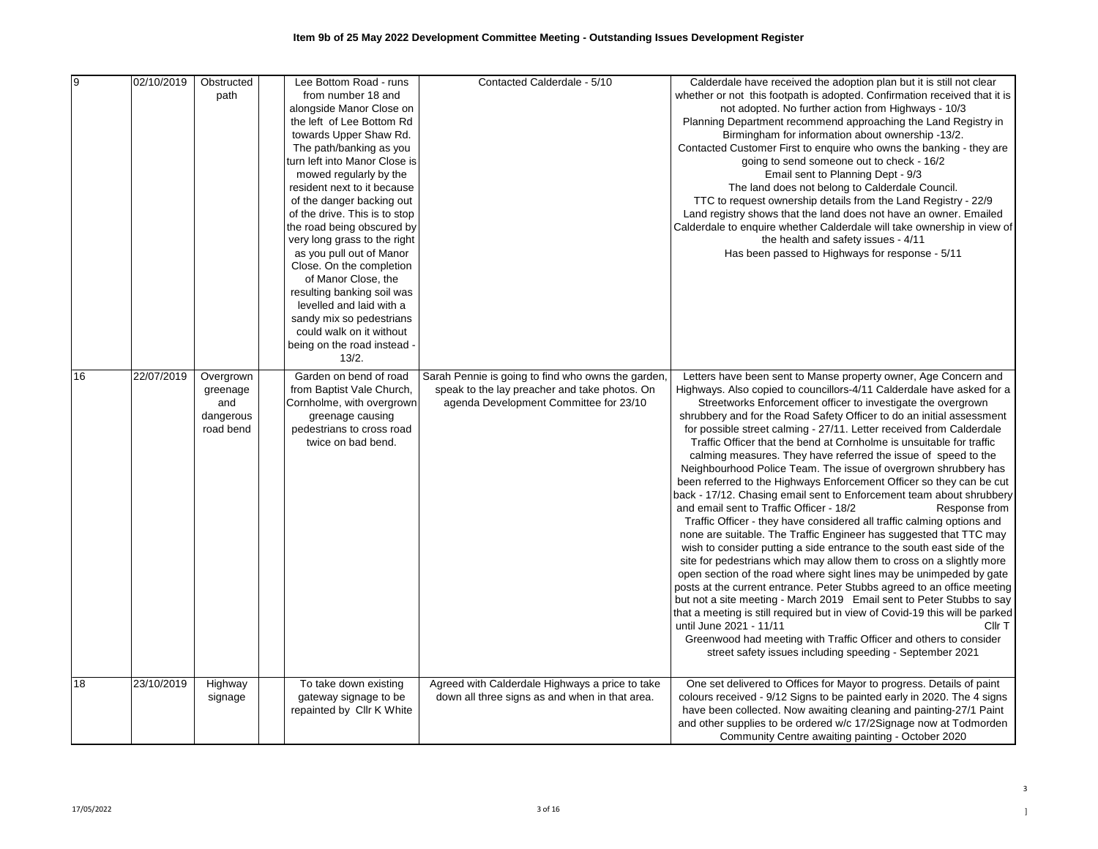| 9  | 02/10/2019 | Obstructed<br>path                                     | Lee Bottom Road - runs<br>from number 18 and<br>alongside Manor Close on<br>the left of Lee Bottom Rd<br>towards Upper Shaw Rd.<br>The path/banking as you<br>turn left into Manor Close is<br>mowed regularly by the<br>resident next to it because<br>of the danger backing out<br>of the drive. This is to stop<br>the road being obscured by<br>very long grass to the right<br>as you pull out of Manor<br>Close. On the completion<br>of Manor Close, the<br>resulting banking soil was<br>levelled and laid with a<br>sandy mix so pedestrians<br>could walk on it without<br>being on the road instead -<br>13/2. | Contacted Calderdale - 5/10                                                                                                                   | Calderdale have received the adoption plan but it is still not clear<br>whether or not this footpath is adopted. Confirmation received that it is<br>not adopted. No further action from Highways - 10/3<br>Planning Department recommend approaching the Land Registry in<br>Birmingham for information about ownership -13/2.<br>Contacted Customer First to enquire who owns the banking - they are<br>going to send someone out to check - 16/2<br>Email sent to Planning Dept - 9/3<br>The land does not belong to Calderdale Council.<br>TTC to request ownership details from the Land Registry - 22/9<br>Land registry shows that the land does not have an owner. Emailed<br>Calderdale to enquire whether Calderdale will take ownership in view of<br>the health and safety issues - 4/11<br>Has been passed to Highways for response - 5/11                                                                                                                                                                                                                                                                                                                                                                                                                                                                                                                                                                                                                                                                                                                 |
|----|------------|--------------------------------------------------------|---------------------------------------------------------------------------------------------------------------------------------------------------------------------------------------------------------------------------------------------------------------------------------------------------------------------------------------------------------------------------------------------------------------------------------------------------------------------------------------------------------------------------------------------------------------------------------------------------------------------------|-----------------------------------------------------------------------------------------------------------------------------------------------|-------------------------------------------------------------------------------------------------------------------------------------------------------------------------------------------------------------------------------------------------------------------------------------------------------------------------------------------------------------------------------------------------------------------------------------------------------------------------------------------------------------------------------------------------------------------------------------------------------------------------------------------------------------------------------------------------------------------------------------------------------------------------------------------------------------------------------------------------------------------------------------------------------------------------------------------------------------------------------------------------------------------------------------------------------------------------------------------------------------------------------------------------------------------------------------------------------------------------------------------------------------------------------------------------------------------------------------------------------------------------------------------------------------------------------------------------------------------------------------------------------------------------------------------------------------------------|
| 16 | 22/07/2019 | Overgrown<br>greenage<br>and<br>dangerous<br>road bend | Garden on bend of road<br>from Baptist Vale Church,<br>Cornholme, with overgrown<br>greenage causing<br>pedestrians to cross road<br>twice on bad bend.                                                                                                                                                                                                                                                                                                                                                                                                                                                                   | Sarah Pennie is going to find who owns the garden,<br>speak to the lay preacher and take photos. On<br>agenda Development Committee for 23/10 | Letters have been sent to Manse property owner, Age Concern and<br>Highways. Also copied to councillors-4/11 Calderdale have asked for a<br>Streetworks Enforcement officer to investigate the overgrown<br>shrubbery and for the Road Safety Officer to do an initial assessment<br>for possible street calming - 27/11. Letter received from Calderdale<br>Traffic Officer that the bend at Cornholme is unsuitable for traffic<br>calming measures. They have referred the issue of speed to the<br>Neighbourhood Police Team. The issue of overgrown shrubbery has<br>been referred to the Highways Enforcement Officer so they can be cut<br>back - 17/12. Chasing email sent to Enforcement team about shrubbery<br>and email sent to Traffic Officer - 18/2<br>Response from<br>Traffic Officer - they have considered all traffic calming options and<br>none are suitable. The Traffic Engineer has suggested that TTC may<br>wish to consider putting a side entrance to the south east side of the<br>site for pedestrians which may allow them to cross on a slightly more<br>open section of the road where sight lines may be unimpeded by gate<br>posts at the current entrance. Peter Stubbs agreed to an office meeting<br>but not a site meeting - March 2019 Email sent to Peter Stubbs to say<br>that a meeting is still required but in view of Covid-19 this will be parked<br>until June 2021 - 11/11<br>Cllr T<br>Greenwood had meeting with Traffic Officer and others to consider<br>street safety issues including speeding - September 2021 |
| 18 | 23/10/2019 | Highway<br>signage                                     | To take down existing<br>gateway signage to be<br>repainted by Cllr K White                                                                                                                                                                                                                                                                                                                                                                                                                                                                                                                                               | Agreed with Calderdale Highways a price to take<br>down all three signs as and when in that area.                                             | One set delivered to Offices for Mayor to progress. Details of paint<br>colours received - 9/12 Signs to be painted early in 2020. The 4 signs<br>have been collected. Now awaiting cleaning and painting-27/1 Paint<br>and other supplies to be ordered w/c 17/2Signage now at Todmorden<br>Community Centre awaiting painting - October 2020                                                                                                                                                                                                                                                                                                                                                                                                                                                                                                                                                                                                                                                                                                                                                                                                                                                                                                                                                                                                                                                                                                                                                                                                                          |

3  $\,$   $\,$   $\,$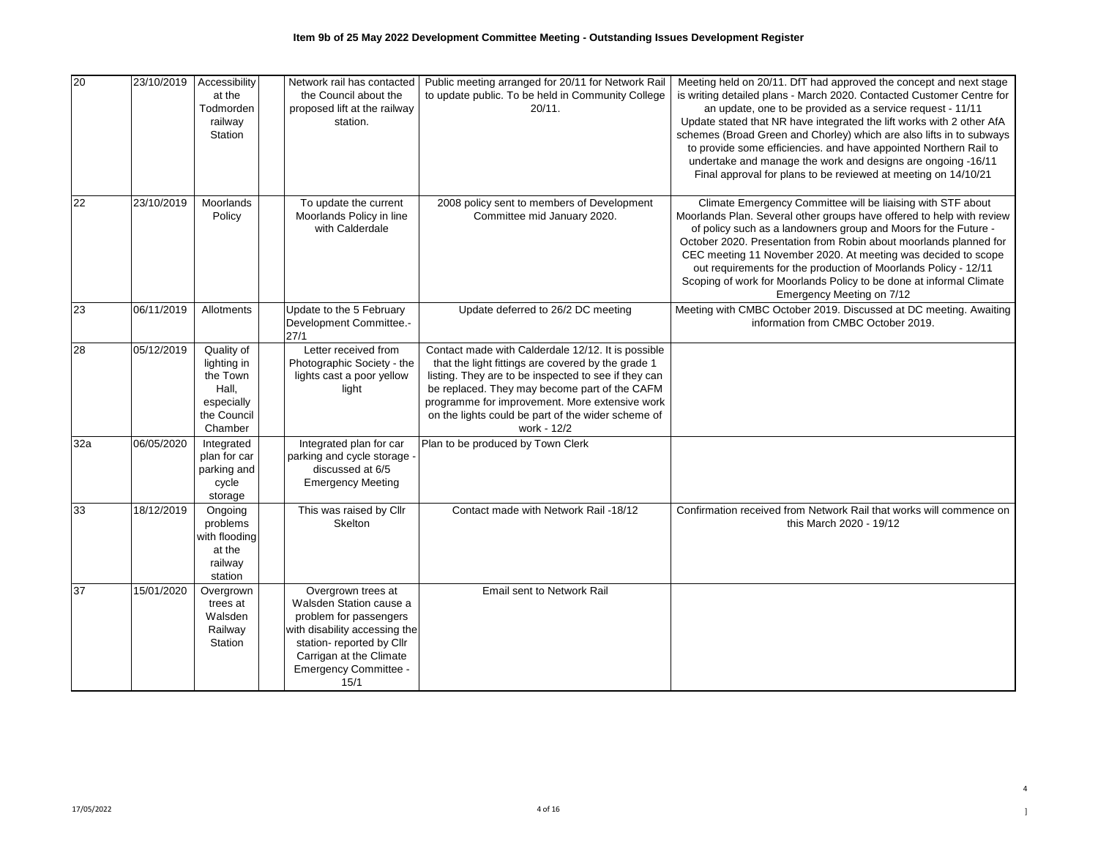| 20  | 23/10/2019 | Accessibility<br>at the<br>Todmorden<br>railway<br>Station                             | Network rail has contacted<br>the Council about the<br>proposed lift at the railway<br>station.                                                                                                   | Public meeting arranged for 20/11 for Network Rail<br>to update public. To be held in Community College<br>20/11.                                                                                                                                                                                                                        | Meeting held on 20/11. DfT had approved the concept and next stage<br>is writing detailed plans - March 2020. Contacted Customer Centre for<br>an update, one to be provided as a service request - 11/11<br>Update stated that NR have integrated the lift works with 2 other AfA<br>schemes (Broad Green and Chorley) which are also lifts in to subways<br>to provide some efficiencies. and have appointed Northern Rail to<br>undertake and manage the work and designs are ongoing -16/11<br>Final approval for plans to be reviewed at meeting on 14/10/21 |
|-----|------------|----------------------------------------------------------------------------------------|---------------------------------------------------------------------------------------------------------------------------------------------------------------------------------------------------|------------------------------------------------------------------------------------------------------------------------------------------------------------------------------------------------------------------------------------------------------------------------------------------------------------------------------------------|-------------------------------------------------------------------------------------------------------------------------------------------------------------------------------------------------------------------------------------------------------------------------------------------------------------------------------------------------------------------------------------------------------------------------------------------------------------------------------------------------------------------------------------------------------------------|
| 22  | 23/10/2019 | Moorlands<br>Policy                                                                    | To update the current<br>Moorlands Policy in line<br>with Calderdale                                                                                                                              | 2008 policy sent to members of Development<br>Committee mid January 2020.                                                                                                                                                                                                                                                                | Climate Emergency Committee will be liaising with STF about<br>Moorlands Plan. Several other groups have offered to help with review<br>of policy such as a landowners group and Moors for the Future -<br>October 2020. Presentation from Robin about moorlands planned for<br>CEC meeting 11 November 2020. At meeting was decided to scope<br>out requirements for the production of Moorlands Policy - 12/11<br>Scoping of work for Moorlands Policy to be done at informal Climate<br>Emergency Meeting on 7/12                                              |
| 23  | 06/11/2019 | Allotments                                                                             | Update to the 5 February<br>Development Committee.-<br>27/1                                                                                                                                       | Update deferred to 26/2 DC meeting                                                                                                                                                                                                                                                                                                       | Meeting with CMBC October 2019. Discussed at DC meeting. Awaiting<br>information from CMBC October 2019.                                                                                                                                                                                                                                                                                                                                                                                                                                                          |
| 28  | 05/12/2019 | Quality of<br>lighting in<br>the Town<br>Hall,<br>especially<br>the Council<br>Chamber | Letter received from<br>Photographic Society - the<br>lights cast a poor yellow<br>light                                                                                                          | Contact made with Calderdale 12/12. It is possible<br>that the light fittings are covered by the grade 1<br>listing. They are to be inspected to see if they can<br>be replaced. They may become part of the CAFM<br>programme for improvement. More extensive work<br>on the lights could be part of the wider scheme of<br>work - 12/2 |                                                                                                                                                                                                                                                                                                                                                                                                                                                                                                                                                                   |
| 32a | 06/05/2020 | Integrated<br>plan for car<br>parking and<br>cycle<br>storage                          | Integrated plan for car<br>parking and cycle storage -<br>discussed at 6/5<br><b>Emergency Meeting</b>                                                                                            | Plan to be produced by Town Clerk                                                                                                                                                                                                                                                                                                        |                                                                                                                                                                                                                                                                                                                                                                                                                                                                                                                                                                   |
| 33  | 18/12/2019 | Ongoing<br>problems<br>with flooding<br>at the<br>railway<br>station                   | This was raised by Cllr<br>Skelton                                                                                                                                                                | Contact made with Network Rail -18/12                                                                                                                                                                                                                                                                                                    | Confirmation received from Network Rail that works will commence on<br>this March 2020 - 19/12                                                                                                                                                                                                                                                                                                                                                                                                                                                                    |
| 37  | 15/01/2020 | Overgrown<br>trees at<br>Walsden<br>Railway<br>Station                                 | Overgrown trees at<br>Walsden Station cause a<br>problem for passengers<br>with disability accessing the<br>station- reported by Cllr<br>Carrigan at the Climate<br>Emergency Committee -<br>15/1 | Email sent to Network Rail                                                                                                                                                                                                                                                                                                               |                                                                                                                                                                                                                                                                                                                                                                                                                                                                                                                                                                   |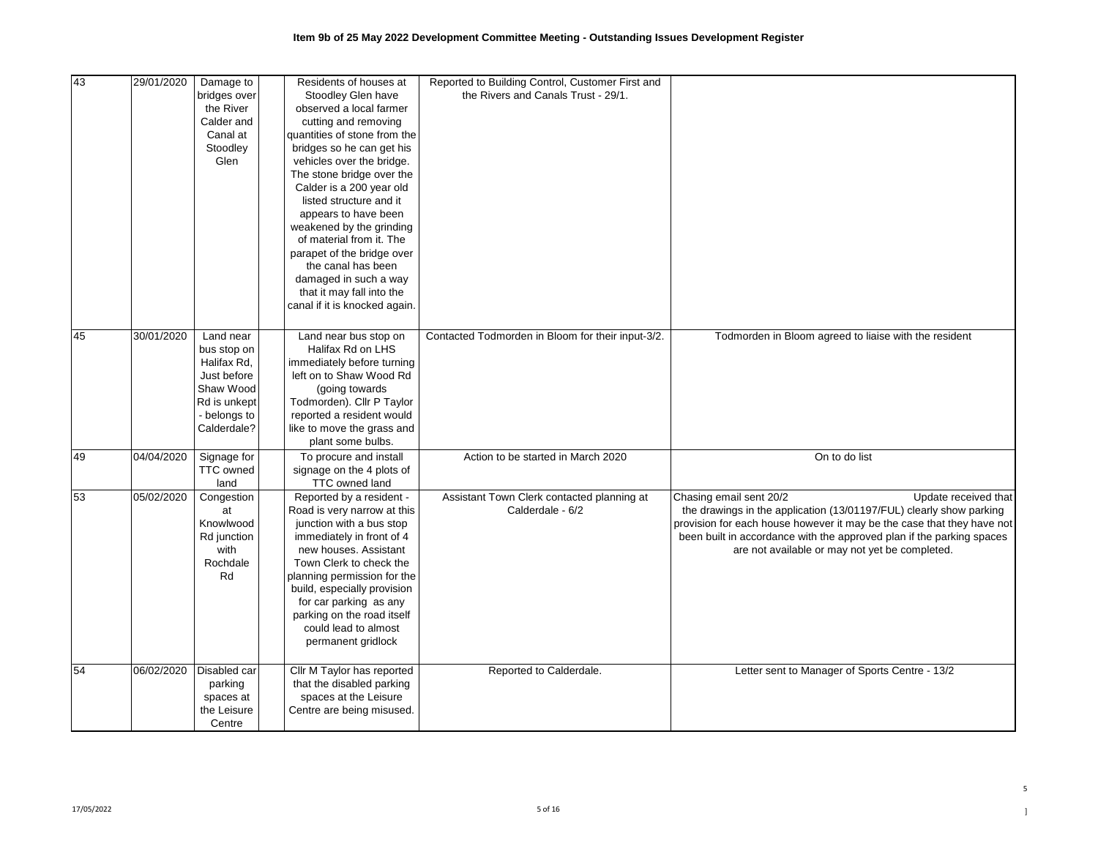| 43 | 29/01/2020 | Damage to                 | Residents of houses at        | Reported to Building Control, Customer First and  |                                                                        |
|----|------------|---------------------------|-------------------------------|---------------------------------------------------|------------------------------------------------------------------------|
|    |            |                           |                               | the Rivers and Canals Trust - 29/1.               |                                                                        |
|    |            | bridges over<br>the River | Stoodley Glen have            |                                                   |                                                                        |
|    |            |                           | observed a local farmer       |                                                   |                                                                        |
|    |            | Calder and                | cutting and removing          |                                                   |                                                                        |
|    |            | Canal at                  | quantities of stone from the  |                                                   |                                                                        |
|    |            | Stoodley                  | bridges so he can get his     |                                                   |                                                                        |
|    |            | Glen                      | vehicles over the bridge.     |                                                   |                                                                        |
|    |            |                           | The stone bridge over the     |                                                   |                                                                        |
|    |            |                           | Calder is a 200 year old      |                                                   |                                                                        |
|    |            |                           | listed structure and it       |                                                   |                                                                        |
|    |            |                           | appears to have been          |                                                   |                                                                        |
|    |            |                           | weakened by the grinding      |                                                   |                                                                        |
|    |            |                           | of material from it. The      |                                                   |                                                                        |
|    |            |                           | parapet of the bridge over    |                                                   |                                                                        |
|    |            |                           | the canal has been            |                                                   |                                                                        |
|    |            |                           | damaged in such a way         |                                                   |                                                                        |
|    |            |                           | that it may fall into the     |                                                   |                                                                        |
|    |            |                           | canal if it is knocked again. |                                                   |                                                                        |
|    |            |                           |                               |                                                   |                                                                        |
| 45 | 30/01/2020 | Land near                 | Land near bus stop on         | Contacted Todmorden in Bloom for their input-3/2. | Todmorden in Bloom agreed to liaise with the resident                  |
|    |            | bus stop on               | Halifax Rd on LHS             |                                                   |                                                                        |
|    |            | Halifax Rd,               | immediately before turning    |                                                   |                                                                        |
|    |            | Just before               | left on to Shaw Wood Rd       |                                                   |                                                                        |
|    |            | Shaw Wood                 | (going towards)               |                                                   |                                                                        |
|    |            | Rd is unkept              | Todmorden). Cllr P Taylor     |                                                   |                                                                        |
|    |            | - belongs to              | reported a resident would     |                                                   |                                                                        |
|    |            | Calderdale?               | like to move the grass and    |                                                   |                                                                        |
|    |            |                           | plant some bulbs.             |                                                   |                                                                        |
| 49 | 04/04/2020 | Signage for               | To procure and install        | Action to be started in March 2020                | On to do list                                                          |
|    |            | <b>TTC</b> owned          | signage on the 4 plots of     |                                                   |                                                                        |
|    |            | land                      | TTC owned land                |                                                   |                                                                        |
| 53 | 05/02/2020 | Congestion                | Reported by a resident -      | Assistant Town Clerk contacted planning at        | Chasing email sent 20/2<br>Update received that                        |
|    |            | at                        | Road is very narrow at this   | Calderdale - 6/2                                  | the drawings in the application (13/01197/FUL) clearly show parking    |
|    |            | Knowlwood                 | junction with a bus stop      |                                                   | provision for each house however it may be the case that they have not |
|    |            | Rd junction               | immediately in front of 4     |                                                   | been built in accordance with the approved plan if the parking spaces  |
|    |            | with                      | new houses. Assistant         |                                                   | are not available or may not yet be completed.                         |
|    |            | Rochdale                  | Town Clerk to check the       |                                                   |                                                                        |
|    |            | Rd                        | planning permission for the   |                                                   |                                                                        |
|    |            |                           | build, especially provision   |                                                   |                                                                        |
|    |            |                           | for car parking as any        |                                                   |                                                                        |
|    |            |                           | parking on the road itself    |                                                   |                                                                        |
|    |            |                           | could lead to almost          |                                                   |                                                                        |
|    |            |                           | permanent gridlock            |                                                   |                                                                        |
|    |            |                           |                               |                                                   |                                                                        |
| 54 | 06/02/2020 | Disabled car              | Cllr M Taylor has reported    | Reported to Calderdale.                           | Letter sent to Manager of Sports Centre - 13/2                         |
|    |            | parking                   | that the disabled parking     |                                                   |                                                                        |
|    |            | spaces at                 | spaces at the Leisure         |                                                   |                                                                        |
|    |            | the Leisure               | Centre are being misused.     |                                                   |                                                                        |
|    |            | Centre                    |                               |                                                   |                                                                        |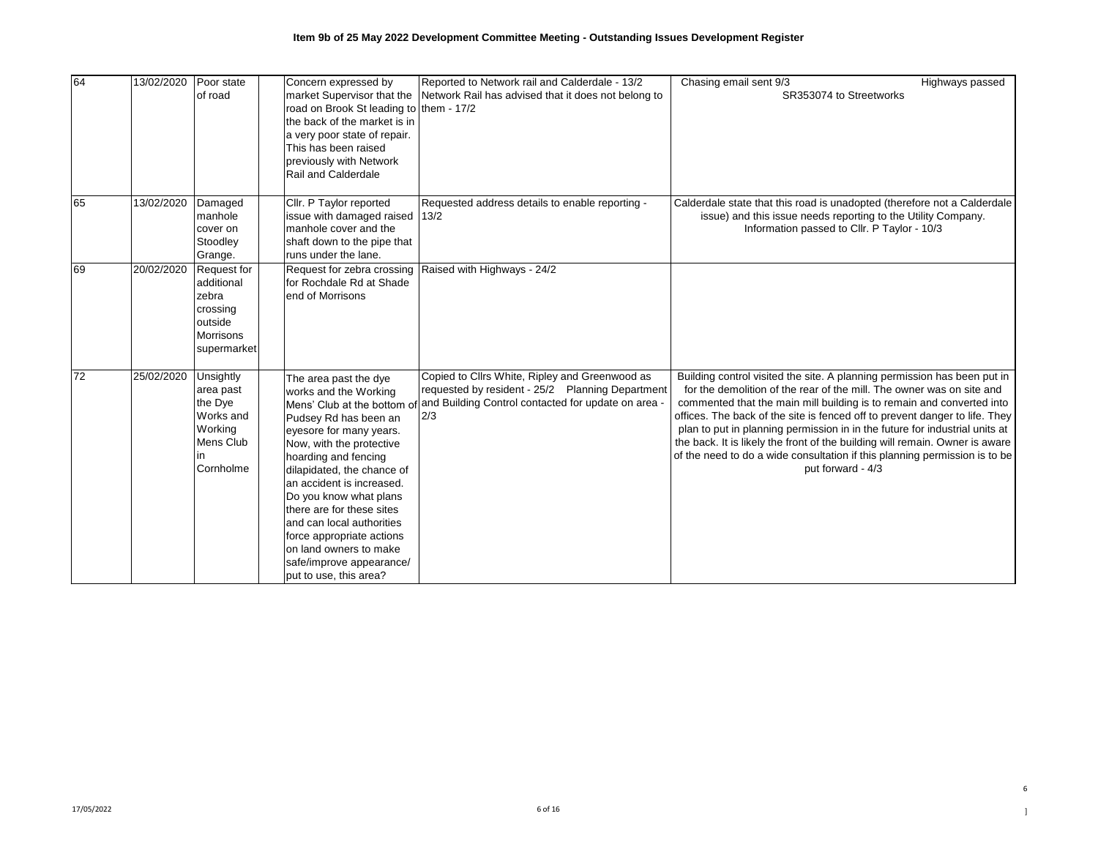| 64 | 13/02/2020 | Poor state                                                                                   | Concern expressed by                                                                                                                                                                                                                                                                                                                                                                                                                              | Reported to Network rail and Calderdale - 13/2                                                                                                                   | Chasing email sent 9/3                                                                                                                                                                                                                                                                                                                                                                                                                                                                                                                                                      | Highways passed |
|----|------------|----------------------------------------------------------------------------------------------|---------------------------------------------------------------------------------------------------------------------------------------------------------------------------------------------------------------------------------------------------------------------------------------------------------------------------------------------------------------------------------------------------------------------------------------------------|------------------------------------------------------------------------------------------------------------------------------------------------------------------|-----------------------------------------------------------------------------------------------------------------------------------------------------------------------------------------------------------------------------------------------------------------------------------------------------------------------------------------------------------------------------------------------------------------------------------------------------------------------------------------------------------------------------------------------------------------------------|-----------------|
|    |            | of road                                                                                      | market Supervisor that the<br>road on Brook St leading to them - 17/2<br>the back of the market is in<br>a very poor state of repair.<br>This has been raised<br>previously with Network<br>Rail and Calderdale                                                                                                                                                                                                                                   | Network Rail has advised that it does not belong to                                                                                                              | SR353074 to Streetworks                                                                                                                                                                                                                                                                                                                                                                                                                                                                                                                                                     |                 |
| 65 | 13/02/2020 | Damaged<br>manhole<br>cover on<br>Stoodley<br>Grange.                                        | Cllr. P Taylor reported<br>issue with damaged raised<br>manhole cover and the<br>shaft down to the pipe that<br>runs under the lane.                                                                                                                                                                                                                                                                                                              | Requested address details to enable reporting -<br>13/2                                                                                                          | Calderdale state that this road is unadopted (therefore not a Calderdale<br>issue) and this issue needs reporting to the Utility Company.<br>Information passed to Cllr. P Taylor - 10/3                                                                                                                                                                                                                                                                                                                                                                                    |                 |
| 69 | 20/02/2020 | Request for<br>additional<br>zebra<br>crossing<br>outside<br><b>Morrisons</b><br>supermarket | Request for zebra crossing<br>for Rochdale Rd at Shade<br>end of Morrisons                                                                                                                                                                                                                                                                                                                                                                        | Raised with Highways - 24/2                                                                                                                                      |                                                                                                                                                                                                                                                                                                                                                                                                                                                                                                                                                                             |                 |
| 72 | 25/02/2020 | Unsightly<br>area past<br>the Dye<br>Works and<br>Working<br>Mens Club<br>l in<br>Cornholme  | The area past the dye<br>works and the Working<br>Mens' Club at the bottom of<br>Pudsey Rd has been an<br>eyesore for many years.<br>Now, with the protective<br>hoarding and fencing<br>dilapidated, the chance of<br>an accident is increased.<br>Do you know what plans<br>there are for these sites<br>and can local authorities<br>force appropriate actions<br>on land owners to make<br>safe/improve appearance/<br>put to use, this area? | Copied to Cllrs White, Ripley and Greenwood as<br>requested by resident - 25/2 Planning Department<br>and Building Control contacted for update on area -<br>2/3 | Building control visited the site. A planning permission has been put in<br>for the demolition of the rear of the mill. The owner was on site and<br>commented that the main mill building is to remain and converted into<br>offices. The back of the site is fenced off to prevent danger to life. They<br>plan to put in planning permission in in the future for industrial units at<br>the back. It is likely the front of the building will remain. Owner is aware<br>of the need to do a wide consultation if this planning permission is to be<br>put forward - 4/3 |                 |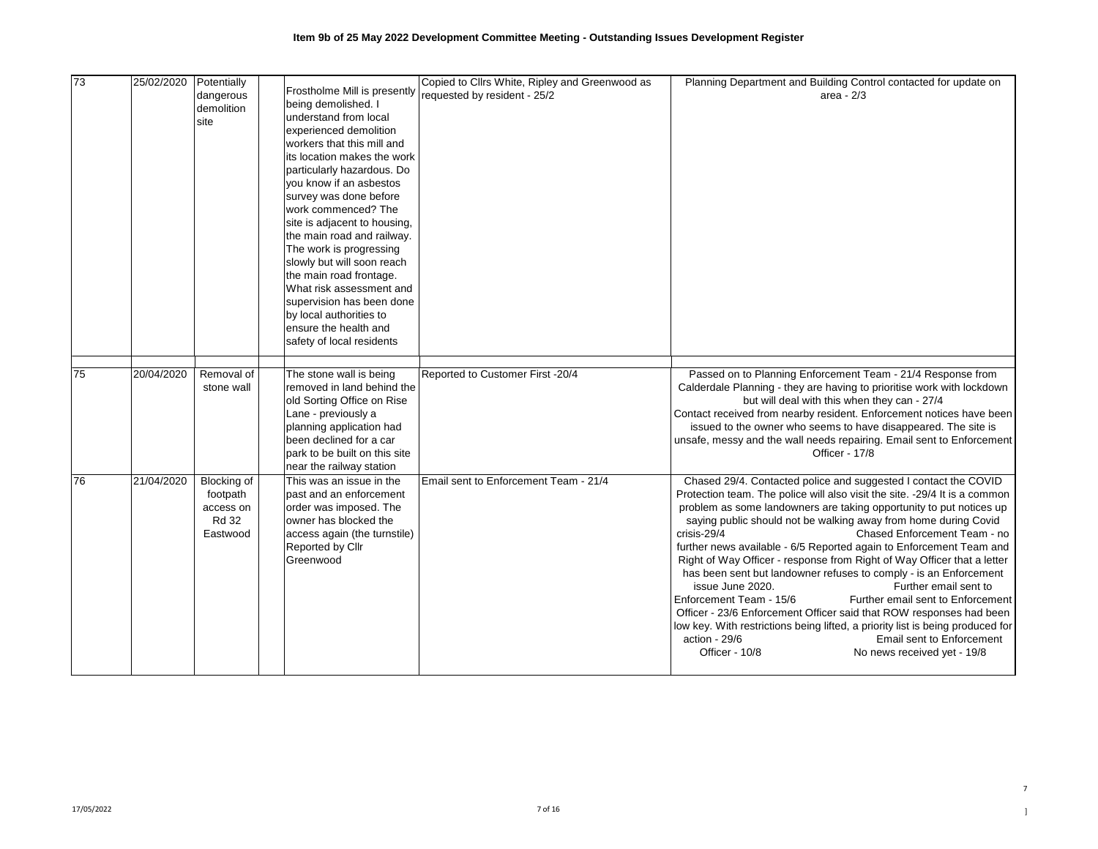| 73  | 25/02/2020 | Potentially  |                               | Copied to Cllrs White, Ripley and Greenwood as | Planning Department and Building Control contacted for update on               |
|-----|------------|--------------|-------------------------------|------------------------------------------------|--------------------------------------------------------------------------------|
|     |            | dangerous    | Frostholme Mill is presently  | requested by resident - 25/2                   | area - $2/3$                                                                   |
|     |            | demolition   | being demolished. I           |                                                |                                                                                |
|     |            | site         | understand from local         |                                                |                                                                                |
|     |            |              | experienced demolition        |                                                |                                                                                |
|     |            |              | workers that this mill and    |                                                |                                                                                |
|     |            |              | its location makes the work   |                                                |                                                                                |
|     |            |              | particularly hazardous. Do    |                                                |                                                                                |
|     |            |              | you know if an asbestos       |                                                |                                                                                |
|     |            |              | survey was done before        |                                                |                                                                                |
|     |            |              | work commenced? The           |                                                |                                                                                |
|     |            |              | site is adjacent to housing,  |                                                |                                                                                |
|     |            |              | the main road and railway.    |                                                |                                                                                |
|     |            |              | The work is progressing       |                                                |                                                                                |
|     |            |              | slowly but will soon reach    |                                                |                                                                                |
|     |            |              | the main road frontage.       |                                                |                                                                                |
|     |            |              | What risk assessment and      |                                                |                                                                                |
|     |            |              | supervision has been done     |                                                |                                                                                |
|     |            |              | by local authorities to       |                                                |                                                                                |
|     |            |              | ensure the health and         |                                                |                                                                                |
|     |            |              | safety of local residents     |                                                |                                                                                |
|     |            |              |                               |                                                |                                                                                |
|     |            |              |                               |                                                |                                                                                |
| 175 | 20/04/2020 | Removal of   | The stone wall is being       | Reported to Customer First -20/4               | Passed on to Planning Enforcement Team - 21/4 Response from                    |
|     |            | stone wall   | removed in land behind the    |                                                | Calderdale Planning - they are having to prioritise work with lockdown         |
|     |            |              | old Sorting Office on Rise    |                                                | but will deal with this when they can - 27/4                                   |
|     |            |              | Lane - previously a           |                                                | Contact received from nearby resident. Enforcement notices have been           |
|     |            |              | planning application had      |                                                | issued to the owner who seems to have disappeared. The site is                 |
|     |            |              | been declined for a car       |                                                | unsafe, messy and the wall needs repairing. Email sent to Enforcement          |
|     |            |              | park to be built on this site |                                                | Officer - 17/8                                                                 |
|     |            |              | near the railway station      |                                                |                                                                                |
| 176 | 21/04/2020 | Blocking of  | This was an issue in the      | Email sent to Enforcement Team - 21/4          | Chased 29/4. Contacted police and suggested I contact the COVID                |
|     |            | footpath     | past and an enforcement       |                                                | Protection team. The police will also visit the site. -29/4 It is a common     |
|     |            | access on    | order was imposed. The        |                                                | problem as some landowners are taking opportunity to put notices up            |
|     |            | <b>Rd 32</b> | owner has blocked the         |                                                | saying public should not be walking away from home during Covid                |
|     |            | Eastwood     | access again (the turnstile)  |                                                | Chased Enforcement Team - no<br>crisis-29/4                                    |
|     |            |              | Reported by Cllr              |                                                | further news available - 6/5 Reported again to Enforcement Team and            |
|     |            |              | Greenwood                     |                                                | Right of Way Officer - response from Right of Way Officer that a letter        |
|     |            |              |                               |                                                | has been sent but landowner refuses to comply - is an Enforcement              |
|     |            |              |                               |                                                | issue June 2020.<br>Further email sent to                                      |
|     |            |              |                               |                                                | Enforcement Team - 15/6<br>Further email sent to Enforcement                   |
|     |            |              |                               |                                                | Officer - 23/6 Enforcement Officer said that ROW responses had been            |
|     |            |              |                               |                                                | low key. With restrictions being lifted, a priority list is being produced for |
|     |            |              |                               |                                                | action - 29/6<br>Email sent to Enforcement                                     |
|     |            |              |                               |                                                | Officer - 10/8<br>No news received yet - 19/8                                  |
|     |            |              |                               |                                                |                                                                                |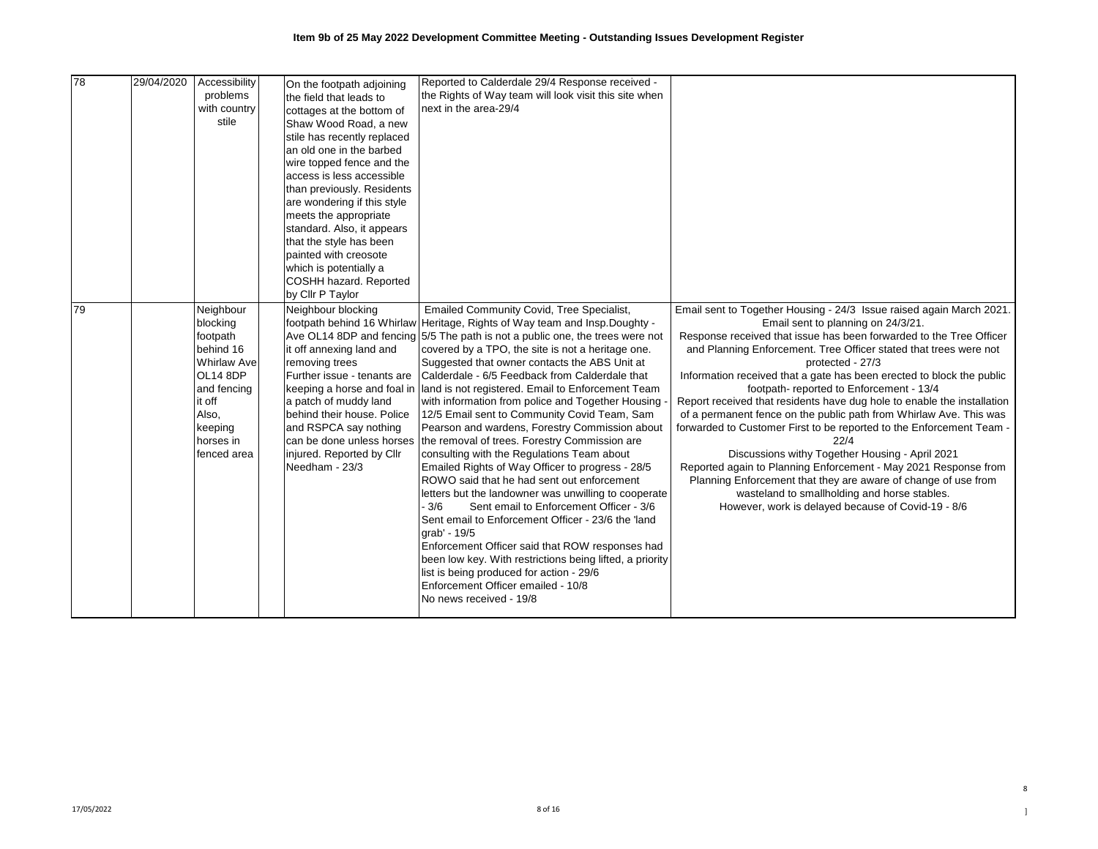| 78 | 29/04/2020 | Accessibility      |                             | Reported to Calderdale 29/4 Response received -                               |                                                                         |
|----|------------|--------------------|-----------------------------|-------------------------------------------------------------------------------|-------------------------------------------------------------------------|
|    |            | problems           | On the footpath adjoining   | the Rights of Way team will look visit this site when                         |                                                                         |
|    |            | with country       | the field that leads to     | next in the area-29/4                                                         |                                                                         |
|    |            | stile              | cottages at the bottom of   |                                                                               |                                                                         |
|    |            |                    | Shaw Wood Road, a new       |                                                                               |                                                                         |
|    |            |                    | stile has recently replaced |                                                                               |                                                                         |
|    |            |                    | an old one in the barbed    |                                                                               |                                                                         |
|    |            |                    | wire topped fence and the   |                                                                               |                                                                         |
|    |            |                    | access is less accessible   |                                                                               |                                                                         |
|    |            |                    | than previously. Residents  |                                                                               |                                                                         |
|    |            |                    | are wondering if this style |                                                                               |                                                                         |
|    |            |                    | meets the appropriate       |                                                                               |                                                                         |
|    |            |                    | standard. Also, it appears  |                                                                               |                                                                         |
|    |            |                    | that the style has been     |                                                                               |                                                                         |
|    |            |                    | painted with creosote       |                                                                               |                                                                         |
|    |            |                    | which is potentially a      |                                                                               |                                                                         |
|    |            |                    | COSHH hazard. Reported      |                                                                               |                                                                         |
|    |            |                    | by Cllr P Taylor            |                                                                               |                                                                         |
| 79 |            | Neighbour          | Neighbour blocking          | Emailed Community Covid, Tree Specialist,                                     | Email sent to Together Housing - 24/3 Issue raised again March 2021     |
|    |            | blocking           |                             | footpath behind 16 Whirlaw Heritage, Rights of Way team and Insp. Doughty -   | Email sent to planning on 24/3/21.                                      |
|    |            | footpath           |                             | Ave OL14 8DP and fencing 5/5 The path is not a public one, the trees were not | Response received that issue has been forwarded to the Tree Officer     |
|    |            | behind 16          | it off annexing land and    | covered by a TPO, the site is not a heritage one.                             | and Planning Enforcement. Tree Officer stated that trees were not       |
|    |            | <b>Whirlaw Ave</b> | removing trees              | Suggested that owner contacts the ABS Unit at                                 | protected - 27/3                                                        |
|    |            | OL14 8DP           | Further issue - tenants are | Calderdale - 6/5 Feedback from Calderdale that                                | Information received that a gate has been erected to block the public   |
|    |            | and fencing        | keeping a horse and foal in | land is not registered. Email to Enforcement Team                             | footpath-reported to Enforcement - 13/4                                 |
|    |            | it off             | a patch of muddy land       | with information from police and Together Housing                             | Report received that residents have dug hole to enable the installation |
|    |            | Also,              | behind their house. Police  | 12/5 Email sent to Community Covid Team, Sam                                  | of a permanent fence on the public path from Whirlaw Ave. This was      |
|    |            | keeping            | and RSPCA say nothing       | Pearson and wardens, Forestry Commission about                                | forwarded to Customer First to be reported to the Enforcement Team -    |
|    |            | horses in          | can be done unless horses   | the removal of trees. Forestry Commission are                                 | 22/4                                                                    |
|    |            | fenced area        | injured. Reported by Cllr   | consulting with the Regulations Team about                                    | Discussions withy Together Housing - April 2021                         |
|    |            |                    | Needham - 23/3              | Emailed Rights of Way Officer to progress - 28/5                              | Reported again to Planning Enforcement - May 2021 Response from         |
|    |            |                    |                             | ROWO said that he had sent out enforcement                                    | Planning Enforcement that they are aware of change of use from          |
|    |            |                    |                             | letters but the landowner was unwilling to cooperate                          | wasteland to smallholding and horse stables.                            |
|    |            |                    |                             | $-3/6$<br>Sent email to Enforcement Officer - 3/6                             | However, work is delayed because of Covid-19 - 8/6                      |
|    |            |                    |                             | Sent email to Enforcement Officer - 23/6 the 'land                            |                                                                         |
|    |            |                    |                             | grab' - 19/5                                                                  |                                                                         |
|    |            |                    |                             | Enforcement Officer said that ROW responses had                               |                                                                         |
|    |            |                    |                             | been low key. With restrictions being lifted, a priority                      |                                                                         |
|    |            |                    |                             | list is being produced for action - 29/6                                      |                                                                         |
|    |            |                    |                             | Enforcement Officer emailed - 10/8                                            |                                                                         |
|    |            |                    |                             | No news received - 19/8                                                       |                                                                         |
|    |            |                    |                             |                                                                               |                                                                         |

8 ]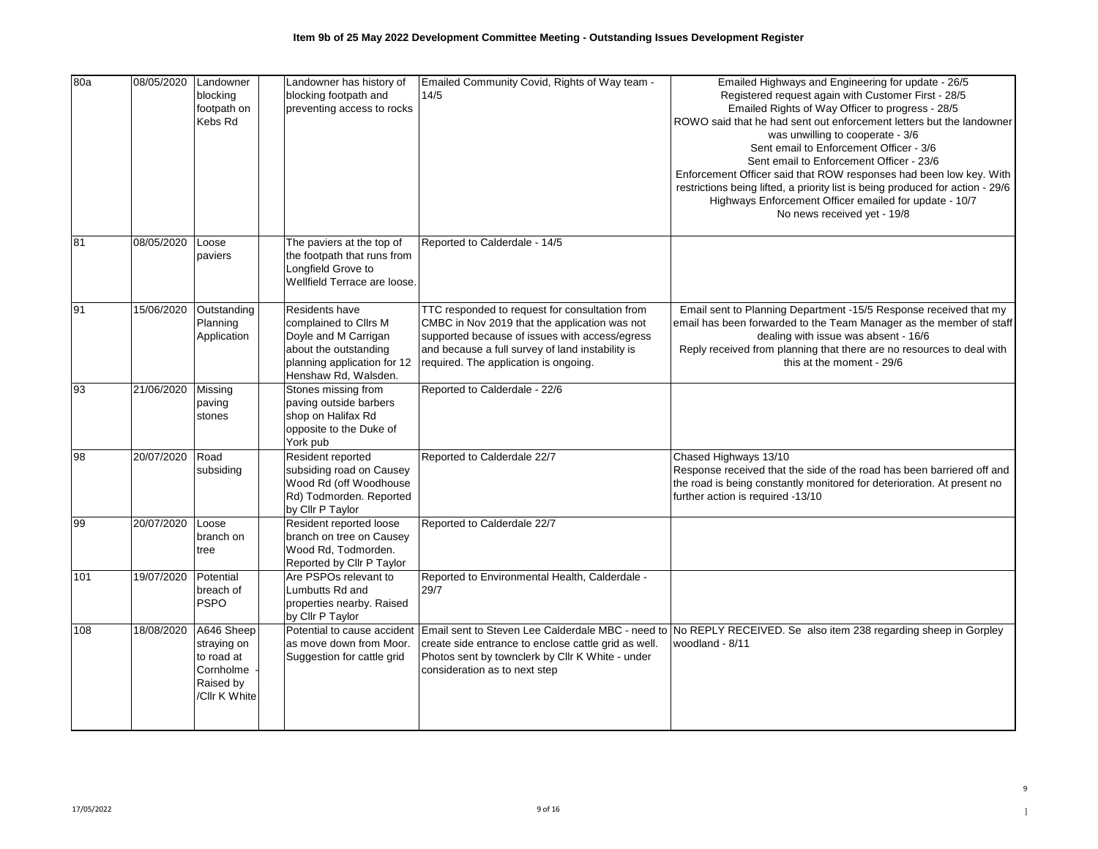| 80a | 08/05/2020 | Landowner<br>blocking<br>footpath on<br>Kebs Rd                                    | Landowner has history of<br>blocking footpath and<br>preventing access to rocks                                                                 | Emailed Community Covid, Rights of Way team -<br>14/5                                                                                                                                                                                          | Emailed Highways and Engineering for update - 26/5<br>Registered request again with Customer First - 28/5<br>Emailed Rights of Way Officer to progress - 28/5<br>ROWO said that he had sent out enforcement letters but the landowner<br>was unwilling to cooperate - 3/6<br>Sent email to Enforcement Officer - 3/6<br>Sent email to Enforcement Officer - 23/6<br>Enforcement Officer said that ROW responses had been low key. With<br>restrictions being lifted, a priority list is being produced for action - 29/6<br>Highways Enforcement Officer emailed for update - 10/7<br>No news received yet - 19/8 |
|-----|------------|------------------------------------------------------------------------------------|-------------------------------------------------------------------------------------------------------------------------------------------------|------------------------------------------------------------------------------------------------------------------------------------------------------------------------------------------------------------------------------------------------|-------------------------------------------------------------------------------------------------------------------------------------------------------------------------------------------------------------------------------------------------------------------------------------------------------------------------------------------------------------------------------------------------------------------------------------------------------------------------------------------------------------------------------------------------------------------------------------------------------------------|
| 81  | 08/05/2020 | Loose<br>paviers                                                                   | The paviers at the top of<br>the footpath that runs from<br>Longfield Grove to<br>Wellfield Terrace are loose.                                  | Reported to Calderdale - 14/5                                                                                                                                                                                                                  |                                                                                                                                                                                                                                                                                                                                                                                                                                                                                                                                                                                                                   |
| 91  | 15/06/2020 | Outstanding<br>Planning<br>Application                                             | Residents have<br>complained to Cllrs M<br>Doyle and M Carrigan<br>about the outstanding<br>planning application for 12<br>Henshaw Rd, Walsden. | TTC responded to request for consultation from<br>CMBC in Nov 2019 that the application was not<br>supported because of issues with access/egress<br>and because a full survey of land instability is<br>required. The application is ongoing. | Email sent to Planning Department -15/5 Response received that my<br>email has been forwarded to the Team Manager as the member of staff<br>dealing with issue was absent - 16/6<br>Reply received from planning that there are no resources to deal with<br>this at the moment - 29/6                                                                                                                                                                                                                                                                                                                            |
| 93  | 21/06/2020 | Missing<br>paving<br>stones                                                        | Stones missing from<br>paving outside barbers<br>shop on Halifax Rd<br>opposite to the Duke of<br>York pub                                      | Reported to Calderdale - 22/6                                                                                                                                                                                                                  |                                                                                                                                                                                                                                                                                                                                                                                                                                                                                                                                                                                                                   |
| 98  | 20/07/2020 | Road<br>subsiding                                                                  | Resident reported<br>subsiding road on Causey<br>Wood Rd (off Woodhouse<br>Rd) Todmorden. Reported<br>by Cllr P Taylor                          | Reported to Calderdale 22/7                                                                                                                                                                                                                    | Chased Highways 13/10<br>Response received that the side of the road has been barriered off and<br>the road is being constantly monitored for deterioration. At present no<br>further action is required -13/10                                                                                                                                                                                                                                                                                                                                                                                                   |
| 99  | 20/07/2020 | Loose<br>branch on<br>tree                                                         | Resident reported loose<br>branch on tree on Causey<br>Wood Rd, Todmorden.<br>Reported by Cllr P Taylor                                         | Reported to Calderdale 22/7                                                                                                                                                                                                                    |                                                                                                                                                                                                                                                                                                                                                                                                                                                                                                                                                                                                                   |
| 101 | 19/07/2020 | Potential<br>breach of<br><b>PSPO</b>                                              | Are PSPOs relevant to<br>Lumbutts Rd and<br>properties nearby. Raised<br>by Cllr P Taylor                                                       | Reported to Environmental Health, Calderdale -<br>29/7                                                                                                                                                                                         |                                                                                                                                                                                                                                                                                                                                                                                                                                                                                                                                                                                                                   |
| 108 | 18/08/2020 | A646 Sheep<br>straying on<br>to road at<br>Cornholme<br>Raised by<br>/Cllr K White | Potential to cause accident<br>as move down from Moor.<br>Suggestion for cattle grid                                                            | create side entrance to enclose cattle grid as well.<br>Photos sent by townclerk by Cllr K White - under<br>consideration as to next step                                                                                                      | Email sent to Steven Lee Calderdale MBC - need to No REPLY RECEIVED. Se also item 238 regarding sheep in Gorpley<br>woodland - 8/11                                                                                                                                                                                                                                                                                                                                                                                                                                                                               |

9 ]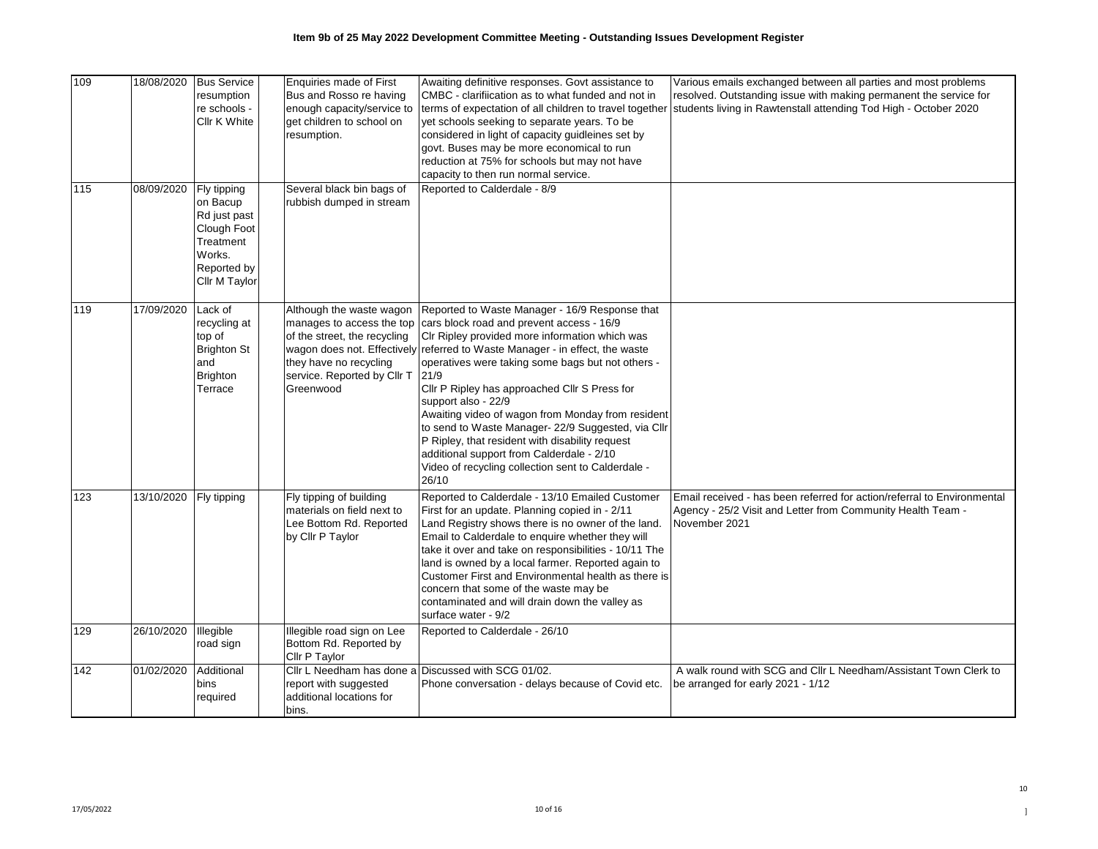| 109<br>115 | 18/08/2020<br>08/09/2020 | <b>Bus Service</b><br>resumption<br>re schools -<br>Cllr K White<br>Fly tipping                | Enquiries made of First<br>Bus and Rosso re having<br>enough capacity/service to<br>get children to school on<br>resumption.<br>Several black bin bags of   | Awaiting definitive responses. Govt assistance to<br>CMBC - clarifiication as to what funded and not in<br>terms of expectation of all children to travel together<br>yet schools seeking to separate years. To be<br>considered in light of capacity guidleines set by<br>govt. Buses may be more economical to run<br>reduction at 75% for schools but may not have<br>capacity to then run normal service.<br>Reported to Calderdale - 8/9                                                                                                                                                                                                | Various emails exchanged between all parties and most problems<br>resolved. Outstanding issue with making permanent the service for<br>students living in Rawtenstall attending Tod High - October 2020 |
|------------|--------------------------|------------------------------------------------------------------------------------------------|-------------------------------------------------------------------------------------------------------------------------------------------------------------|----------------------------------------------------------------------------------------------------------------------------------------------------------------------------------------------------------------------------------------------------------------------------------------------------------------------------------------------------------------------------------------------------------------------------------------------------------------------------------------------------------------------------------------------------------------------------------------------------------------------------------------------|---------------------------------------------------------------------------------------------------------------------------------------------------------------------------------------------------------|
|            |                          | on Bacup<br>Rd just past<br>Clough Foot<br>Treatment<br>Works.<br>Reported by<br>Cllr M Taylor | rubbish dumped in stream                                                                                                                                    |                                                                                                                                                                                                                                                                                                                                                                                                                                                                                                                                                                                                                                              |                                                                                                                                                                                                         |
| 119        | 17/09/2020               | Lack of<br>recycling at<br>top of<br><b>Brighton St</b><br>and<br><b>Brighton</b><br>Terrace   | Although the waste wagon<br>manages to access the top<br>of the street, the recycling<br>they have no recycling<br>service. Reported by Cllr T<br>Greenwood | Reported to Waste Manager - 16/9 Response that<br>cars block road and prevent access - 16/9<br>CIr Ripley provided more information which was<br>wagon does not. Effectively referred to Waste Manager - in effect, the waste<br>operatives were taking some bags but not others -<br>21/9<br>Cllr P Ripley has approached Cllr S Press for<br>support also - 22/9<br>Awaiting video of wagon from Monday from resident<br>to send to Waste Manager- 22/9 Suggested, via Cllr<br>P Ripley, that resident with disability request<br>additional support from Calderdale - 2/10<br>Video of recycling collection sent to Calderdale -<br>26/10 |                                                                                                                                                                                                         |
| 123        | 13/10/2020               | Fly tipping                                                                                    | Fly tipping of building<br>materials on field next to<br>Lee Bottom Rd. Reported<br>by Cllr P Taylor                                                        | Reported to Calderdale - 13/10 Emailed Customer<br>First for an update. Planning copied in - 2/11<br>Land Registry shows there is no owner of the land.<br>Email to Calderdale to enquire whether they will<br>take it over and take on responsibilities - 10/11 The<br>land is owned by a local farmer. Reported again to<br>Customer First and Environmental health as there is<br>concern that some of the waste may be<br>contaminated and will drain down the valley as<br>surface water - 9/2                                                                                                                                          | Email received - has been referred for action/referral to Environmental<br>Agency - 25/2 Visit and Letter from Community Health Team -<br>November 2021                                                 |
| 129        | 26/10/2020               | Illegible<br>road sign                                                                         | Illegible road sign on Lee<br>Bottom Rd. Reported by<br>Cllr P Taylor                                                                                       | Reported to Calderdale - 26/10                                                                                                                                                                                                                                                                                                                                                                                                                                                                                                                                                                                                               |                                                                                                                                                                                                         |
| 142        | 01/02/2020               | Additional<br>bins<br>required                                                                 | report with suggested<br>additional locations for<br>bins.                                                                                                  | Cllr L Needham has done a Discussed with SCG 01/02.<br>Phone conversation - delays because of Covid etc.                                                                                                                                                                                                                                                                                                                                                                                                                                                                                                                                     | A walk round with SCG and Cllr L Needham/Assistant Town Clerk to<br>be arranged for early 2021 - 1/12                                                                                                   |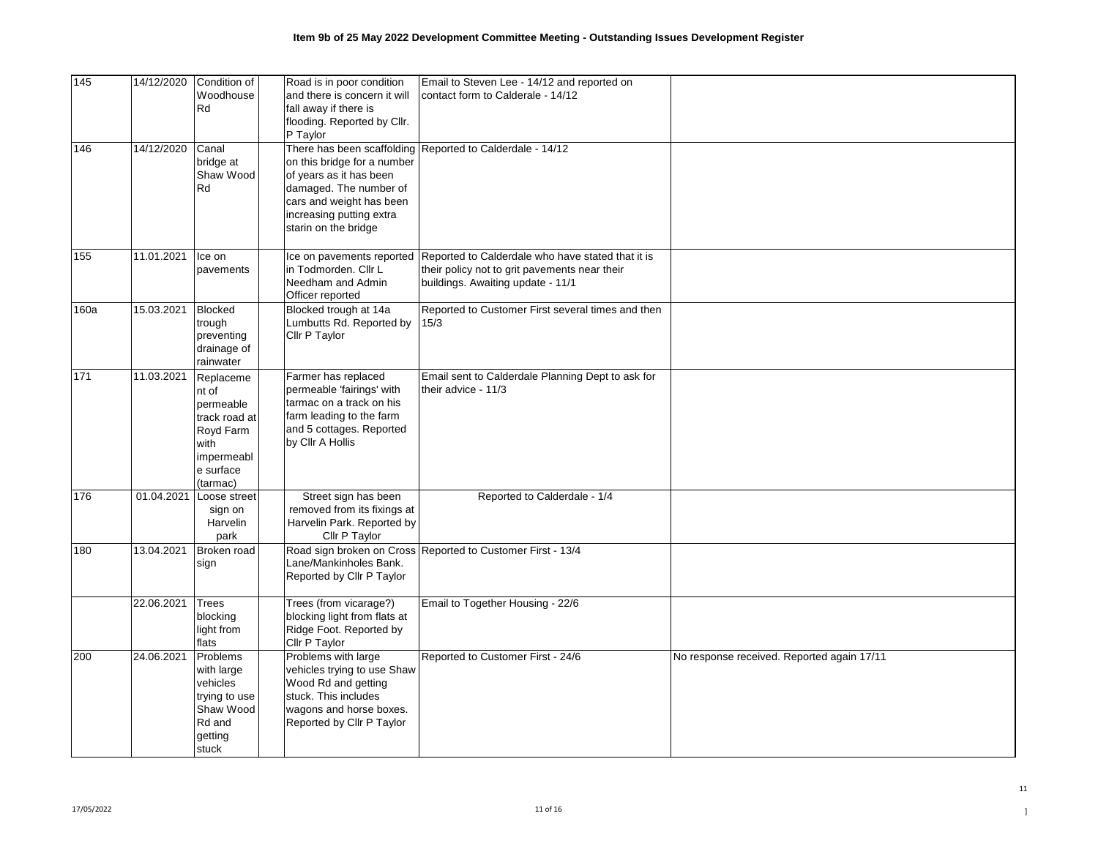| 145  | 14/12/2020 | Condition of<br>Woodhouse<br>Rd                                                                              | Road is in poor condition<br>and there is concern it will<br>fall away if there is<br>flooding. Reported by Cllr.<br>P Taylor                                    | Email to Steven Lee - 14/12 and reported on<br>contact form to Calderale - 14/12                                                        |                                            |
|------|------------|--------------------------------------------------------------------------------------------------------------|------------------------------------------------------------------------------------------------------------------------------------------------------------------|-----------------------------------------------------------------------------------------------------------------------------------------|--------------------------------------------|
| 146  | 14/12/2020 | Canal<br>bridge at<br>Shaw Wood<br>Rd                                                                        | on this bridge for a number<br>of years as it has been<br>damaged. The number of<br>cars and weight has been<br>increasing putting extra<br>starin on the bridge | There has been scaffolding Reported to Calderdale - 14/12                                                                               |                                            |
| 155  | 11.01.2021 | Ice on<br>pavements                                                                                          | Ice on pavements reported<br>in Todmorden, Cllr L<br>Needham and Admin<br>Officer reported                                                                       | Reported to Calderdale who have stated that it is<br>their policy not to grit pavements near their<br>buildings. Awaiting update - 11/1 |                                            |
| 160a | 15.03.2021 | <b>Blocked</b><br>trough<br>preventing<br>drainage of<br>rainwater                                           | Blocked trough at 14a<br>Lumbutts Rd. Reported by<br>Cllr P Taylor                                                                                               | Reported to Customer First several times and then<br>15/3                                                                               |                                            |
| 171  | 11.03.2021 | Replaceme<br>nt of<br>permeable<br>track road at<br>Royd Farm<br>with<br>impermeabl<br>e surface<br>(tarmac) | Farmer has replaced<br>permeable 'fairings' with<br>tarmac on a track on his<br>farm leading to the farm<br>and 5 cottages. Reported<br>by Cllr A Hollis         | Email sent to Calderdale Planning Dept to ask for<br>their advice - 11/3                                                                |                                            |
| 176  | 01.04.2021 | Loose street<br>sign on<br>Harvelin<br>park                                                                  | Street sign has been<br>removed from its fixings at<br>Harvelin Park. Reported by<br>Cllr P Taylor                                                               | Reported to Calderdale - 1/4                                                                                                            |                                            |
| 180  | 13.04.2021 | Broken road<br>sign                                                                                          | Lane/Mankinholes Bank.<br>Reported by Cllr P Taylor                                                                                                              | Road sign broken on Cross Reported to Customer First - 13/4                                                                             |                                            |
|      | 22.06.2021 | Trees<br>blocking<br>light from<br>flats                                                                     | Trees (from vicarage?)<br>blocking light from flats at<br>Ridge Foot. Reported by<br>Cllr P Taylor                                                               | Email to Together Housing - 22/6                                                                                                        |                                            |
| 200  | 24.06.2021 | Problems<br>with large<br>vehicles<br>trying to use<br>Shaw Wood<br>Rd and<br>getting<br>stuck               | Problems with large<br>vehicles trying to use Shaw<br>Wood Rd and getting<br>stuck. This includes<br>wagons and horse boxes.<br>Reported by Cllr P Taylor        | Reported to Customer First - 24/6                                                                                                       | No response received. Reported again 17/11 |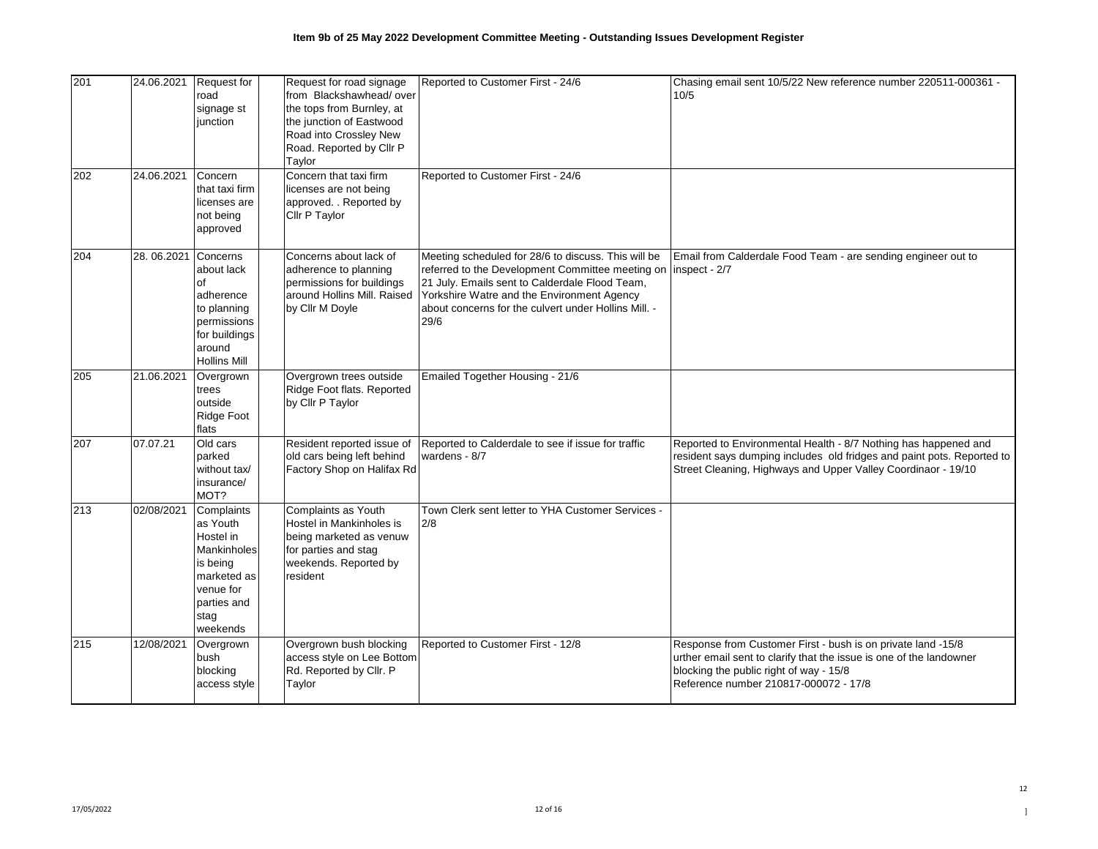| 201 | 24.06.2021 | <b>Request for</b><br>road<br>signage st<br>iunction                                                                          | Request for road signage<br>from Blackshawhead/over<br>the tops from Burnley, at<br>the junction of Eastwood<br>Road into Crossley New<br>Road. Reported by Cllr P<br>Taylor | Reported to Customer First - 24/6                                                                                                                                                                                                                                       | Chasing email sent 10/5/22 New reference number 220511-000361 -<br>10/5                                                                                                                                                 |
|-----|------------|-------------------------------------------------------------------------------------------------------------------------------|------------------------------------------------------------------------------------------------------------------------------------------------------------------------------|-------------------------------------------------------------------------------------------------------------------------------------------------------------------------------------------------------------------------------------------------------------------------|-------------------------------------------------------------------------------------------------------------------------------------------------------------------------------------------------------------------------|
| 202 | 24.06.2021 | Concern<br>that taxi firm<br>licenses are<br>not being<br>approved                                                            | Concern that taxi firm<br>licenses are not being<br>approved. . Reported by<br>Cllr P Taylor                                                                                 | Reported to Customer First - 24/6                                                                                                                                                                                                                                       |                                                                                                                                                                                                                         |
| 204 | 28.06.2021 | Concerns<br>about lack<br>of<br>adherence<br>to planning<br>permissions<br>for buildings<br>around<br><b>Hollins Mill</b>     | Concerns about lack of<br>adherence to planning<br>permissions for buildings<br>around Hollins Mill. Raised<br>by Cllr M Doyle                                               | Meeting scheduled for 28/6 to discuss. This will be<br>referred to the Development Committee meeting on<br>21 July. Emails sent to Calderdale Flood Team,<br>Yorkshire Watre and the Environment Agency<br>about concerns for the culvert under Hollins Mill. -<br>29/6 | Email from Calderdale Food Team - are sending engineer out to<br>inspect - 2/7                                                                                                                                          |
| 205 | 21.06.2021 | Overgrown<br>trees<br>outside<br>Ridge Foot<br>flats                                                                          | Overgrown trees outside<br>Ridge Foot flats. Reported<br>by Cllr P Taylor                                                                                                    | Emailed Together Housing - 21/6                                                                                                                                                                                                                                         |                                                                                                                                                                                                                         |
| 207 | 07.07.21   | Old cars<br>parked<br>without tax/<br>insurance/<br>MOT?                                                                      | Resident reported issue of<br>old cars being left behind<br>Factory Shop on Halifax Rd                                                                                       | Reported to Calderdale to see if issue for traffic<br>wardens - 8/7                                                                                                                                                                                                     | Reported to Environmental Health - 8/7 Nothing has happened and<br>resident says dumping includes old fridges and paint pots. Reported to<br>Street Cleaning, Highways and Upper Valley Coordinaor - 19/10              |
| 213 | 02/08/2021 | Complaints<br>as Youth<br>Hostel in<br>Mankinholes<br>is being<br>marketed as<br>venue for<br>parties and<br>stag<br>weekends | Complaints as Youth<br>Hostel in Mankinholes is<br>being marketed as venuw<br>for parties and stag<br>weekends. Reported by<br>resident                                      | Town Clerk sent letter to YHA Customer Services -<br>2/8                                                                                                                                                                                                                |                                                                                                                                                                                                                         |
| 215 | 12/08/2021 | Overgrown<br>bush<br>blocking<br>access style                                                                                 | Overgrown bush blocking<br>access style on Lee Bottom<br>Rd. Reported by Cllr. P<br>Taylor                                                                                   | Reported to Customer First - 12/8                                                                                                                                                                                                                                       | Response from Customer First - bush is on private land -15/8<br>urther email sent to clarify that the issue is one of the landowner<br>blocking the public right of way - 15/8<br>Reference number 210817-000072 - 17/8 |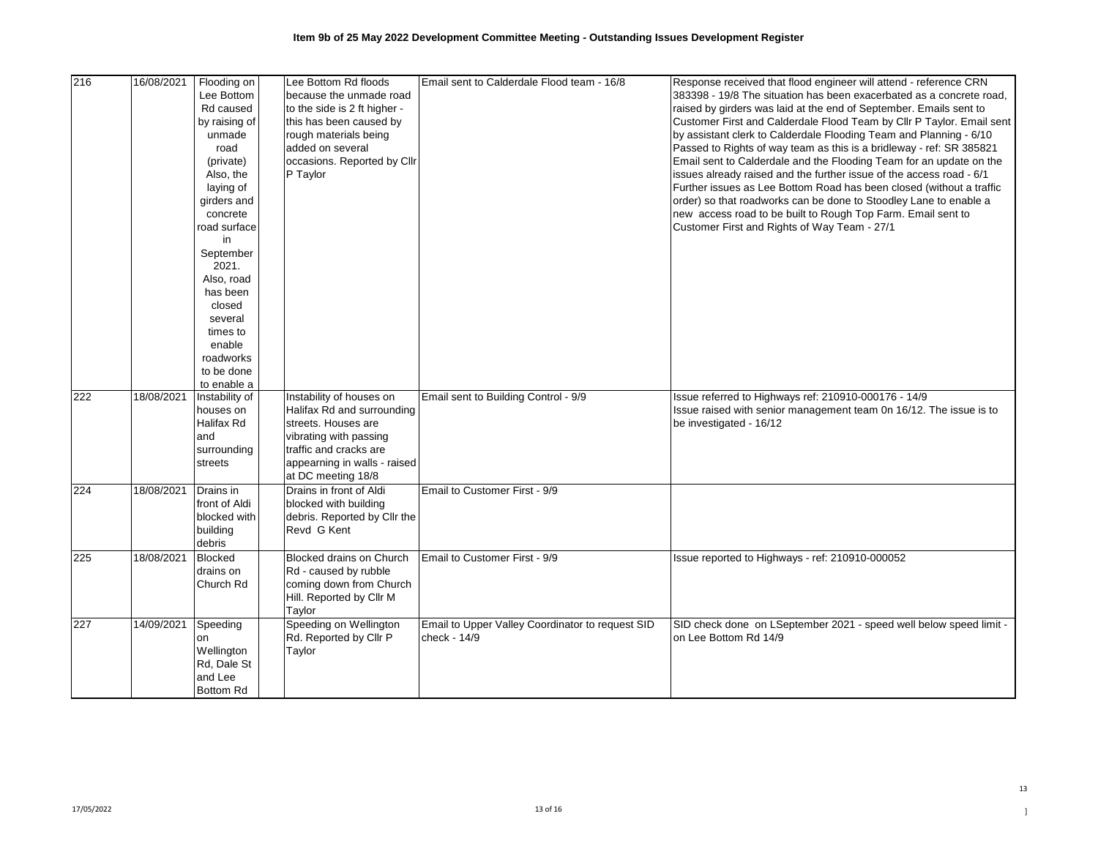| 216 | 16/08/2021 | Flooding on<br>Lee Bottom<br>Rd caused<br>by raising of<br>unmade<br>road<br>(private)                                                                             | Lee Bottom Rd floods<br>because the unmade road<br>to the side is 2 ft higher -<br>this has been caused by<br>rough materials being<br>added on several<br>occasions. Reported by Cllr  | Email sent to Calderdale Flood team - 16/8                       | Response received that flood engineer will attend - reference CRN<br>383398 - 19/8 The situation has been exacerbated as a concrete road,<br>raised by girders was laid at the end of September. Emails sent to<br>Customer First and Calderdale Flood Team by Cllr P Taylor. Email sent<br>by assistant clerk to Calderdale Flooding Team and Planning - 6/10<br>Passed to Rights of way team as this is a bridleway - ref: SR 385821<br>Email sent to Calderdale and the Flooding Team for an update on the |
|-----|------------|--------------------------------------------------------------------------------------------------------------------------------------------------------------------|-----------------------------------------------------------------------------------------------------------------------------------------------------------------------------------------|------------------------------------------------------------------|---------------------------------------------------------------------------------------------------------------------------------------------------------------------------------------------------------------------------------------------------------------------------------------------------------------------------------------------------------------------------------------------------------------------------------------------------------------------------------------------------------------|
|     |            | Also, the<br>laying of<br>girders and<br>concrete<br>road surface<br>in<br>September<br>2021.<br>Also, road<br>has been<br>closed<br>several<br>times to<br>enable | P Taylor                                                                                                                                                                                |                                                                  | issues already raised and the further issue of the access road - 6/1<br>Further issues as Lee Bottom Road has been closed (without a traffic<br>order) so that roadworks can be done to Stoodley Lane to enable a<br>new access road to be built to Rough Top Farm. Email sent to<br>Customer First and Rights of Way Team - 27/1                                                                                                                                                                             |
|     |            | roadworks<br>to be done<br>to enable a                                                                                                                             |                                                                                                                                                                                         |                                                                  |                                                                                                                                                                                                                                                                                                                                                                                                                                                                                                               |
| 222 | 18/08/2021 | Instability of<br>houses on<br>Halifax Rd<br>and<br>surrounding<br>streets                                                                                         | Instability of houses on<br>Halifax Rd and surrounding<br>streets. Houses are<br>vibrating with passing<br>traffic and cracks are<br>appearning in walls - raised<br>at DC meeting 18/8 | Email sent to Building Control - 9/9                             | Issue referred to Highways ref: 210910-000176 - 14/9<br>Issue raised with senior management team 0n 16/12. The issue is to<br>be investigated - 16/12                                                                                                                                                                                                                                                                                                                                                         |
| 224 | 18/08/2021 | Drains in<br>front of Aldi<br>blocked with<br>building<br>debris                                                                                                   | Drains in front of Aldi<br>blocked with building<br>debris. Reported by Cllr the<br>Revd G Kent                                                                                         | Email to Customer First - 9/9                                    |                                                                                                                                                                                                                                                                                                                                                                                                                                                                                                               |
| 225 | 18/08/2021 | Blocked<br>drains on<br>Church Rd                                                                                                                                  | Blocked drains on Church<br>Rd - caused by rubble<br>coming down from Church<br>Hill. Reported by Cllr M<br>Taylor                                                                      | Email to Customer First - 9/9                                    | Issue reported to Highways - ref: 210910-000052                                                                                                                                                                                                                                                                                                                                                                                                                                                               |
| 227 | 14/09/2021 | Speeding<br>on<br>Wellington<br>Rd, Dale St<br>and Lee<br><b>Bottom Rd</b>                                                                                         | Speeding on Wellington<br>Rd. Reported by Cllr P<br>Taylor                                                                                                                              | Email to Upper Valley Coordinator to request SID<br>check - 14/9 | SID check done on LSeptember 2021 - speed well below speed limit -<br>on Lee Bottom Rd 14/9                                                                                                                                                                                                                                                                                                                                                                                                                   |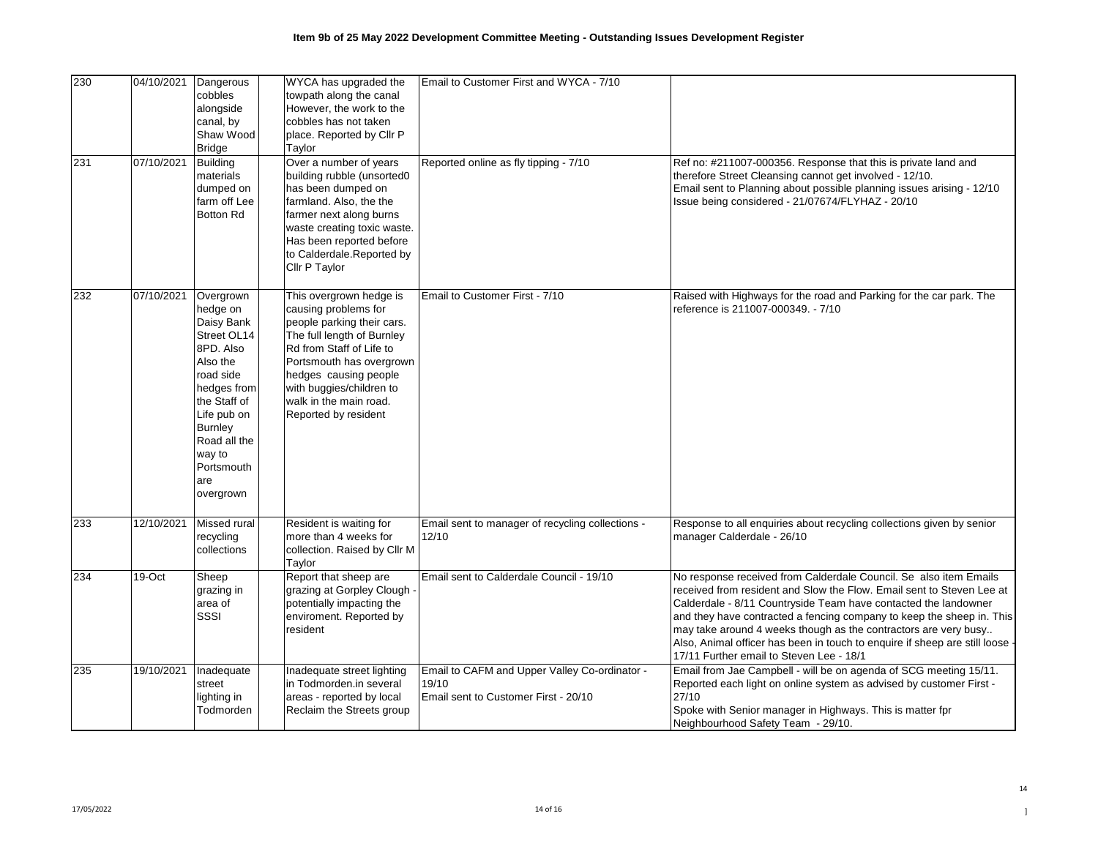| 230 | 04/10/2021 | Dangerous<br>cobbles<br>alongside<br>canal, by<br>Shaw Wood<br><b>Bridge</b>                                                                                                                                         | WYCA has upgraded the<br>towpath along the canal<br>However, the work to the<br>cobbles has not taken<br>place. Reported by Cllr P<br>Taylor                                                                                                                               | Email to Customer First and WYCA - 7/10                                                        |                                                                                                                                                                                                                                                                                                                                                                                                                                                                                       |
|-----|------------|----------------------------------------------------------------------------------------------------------------------------------------------------------------------------------------------------------------------|----------------------------------------------------------------------------------------------------------------------------------------------------------------------------------------------------------------------------------------------------------------------------|------------------------------------------------------------------------------------------------|---------------------------------------------------------------------------------------------------------------------------------------------------------------------------------------------------------------------------------------------------------------------------------------------------------------------------------------------------------------------------------------------------------------------------------------------------------------------------------------|
| 231 | 07/10/2021 | <b>Building</b><br>materials<br>dumped on<br>farm off Lee<br><b>Botton Rd</b>                                                                                                                                        | Over a number of years<br>building rubble (unsorted0<br>has been dumped on<br>farmland. Also, the the<br>farmer next along burns<br>waste creating toxic waste.<br>Has been reported before<br>to Calderdale.Reported by<br>Cllr P Taylor                                  | Reported online as fly tipping - 7/10                                                          | Ref no: #211007-000356. Response that this is private land and<br>therefore Street Cleansing cannot get involved - 12/10.<br>Email sent to Planning about possible planning issues arising - 12/10<br>Issue being considered - 21/07674/FLYHAZ - 20/10                                                                                                                                                                                                                                |
| 232 | 07/10/2021 | Overgrown<br>hedge on<br>Daisy Bank<br>Street OL14<br>8PD. Also<br>Also the<br>road side<br>hedges from<br>the Staff of<br>Life pub on<br><b>Burnley</b><br>Road all the<br>way to<br>Portsmouth<br>are<br>overgrown | This overgrown hedge is<br>causing problems for<br>people parking their cars.<br>The full length of Burnley<br>Rd from Staff of Life to<br>Portsmouth has overgrown<br>hedges causing people<br>with buggies/children to<br>walk in the main road.<br>Reported by resident | Email to Customer First - 7/10                                                                 | Raised with Highways for the road and Parking for the car park. The<br>reference is 211007-000349. - 7/10                                                                                                                                                                                                                                                                                                                                                                             |
| 233 | 12/10/2021 | Missed rural<br>recycling<br>collections                                                                                                                                                                             | Resident is waiting for<br>more than 4 weeks for<br>collection. Raised by Cllr M<br>Taylor                                                                                                                                                                                 | Email sent to manager of recycling collections -<br>12/10                                      | Response to all enquiries about recycling collections given by senior<br>manager Calderdale - 26/10                                                                                                                                                                                                                                                                                                                                                                                   |
| 234 | 19-Oct     | Sheep<br>grazing in<br>area of<br>SSSI                                                                                                                                                                               | Report that sheep are<br>grazing at Gorpley Clough<br>potentially impacting the<br>enviroment. Reported by<br>resident                                                                                                                                                     | Email sent to Calderdale Council - 19/10                                                       | No response received from Calderdale Council. Se also item Emails<br>received from resident and Slow the Flow. Email sent to Steven Lee at<br>Calderdale - 8/11 Countryside Team have contacted the landowner<br>and they have contracted a fencing company to keep the sheep in. This<br>may take around 4 weeks though as the contractors are very busy<br>Also, Animal officer has been in touch to enquire if sheep are still loose ·<br>17/11 Further email to Steven Lee - 18/1 |
| 235 | 19/10/2021 | Inadequate<br>street<br>lighting in<br>Todmorden                                                                                                                                                                     | Inadequate street lighting<br>in Todmorden.in several<br>areas - reported by local<br>Reclaim the Streets group                                                                                                                                                            | Email to CAFM and Upper Valley Co-ordinator -<br>19/10<br>Email sent to Customer First - 20/10 | Email from Jae Campbell - will be on agenda of SCG meeting 15/11.<br>Reported each light on online system as advised by customer First -<br>27/10<br>Spoke with Senior manager in Highways. This is matter fpr<br>Neighbourhood Safety Team - 29/10.                                                                                                                                                                                                                                  |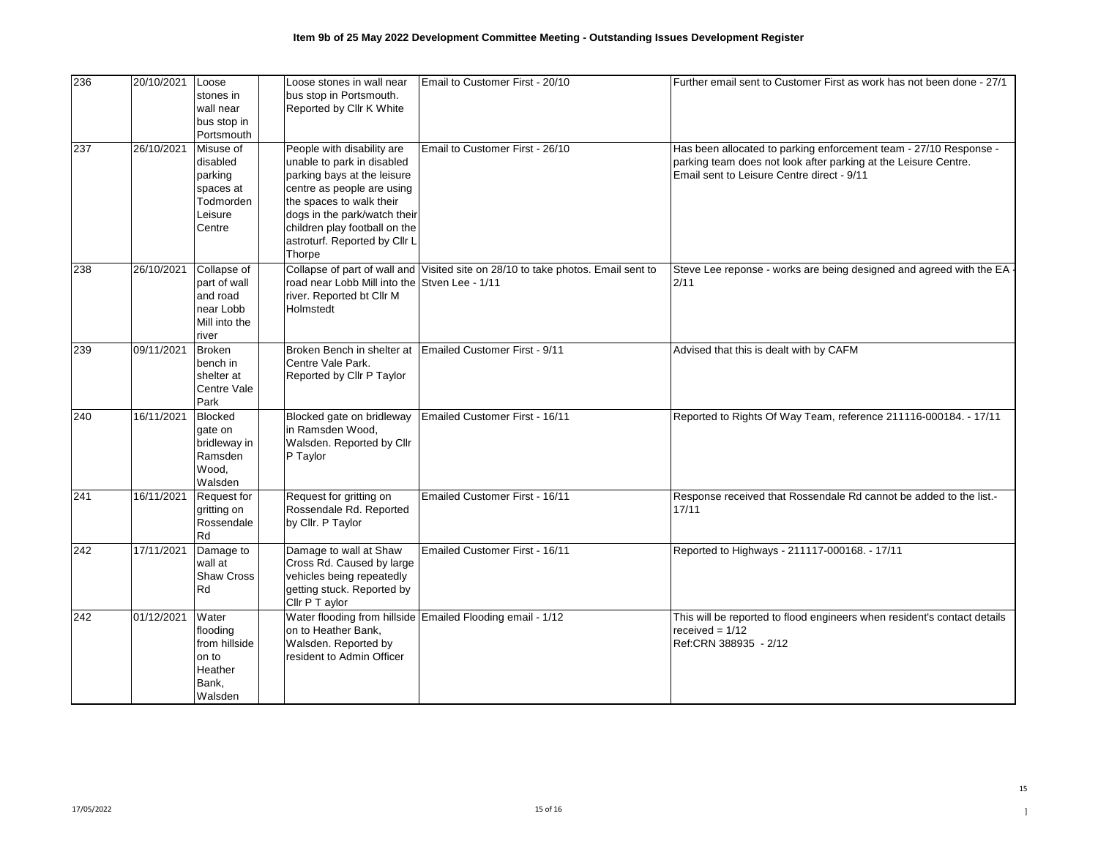| 236 | 20/10/2021 | Loose<br>stones in<br>wall near<br>bus stop in<br>Portsmouth                    | Loose stones in wall near<br>bus stop in Portsmouth.<br>Reported by Cllr K White                                                                                                                                                                              | Email to Customer First - 20/10                                                  | Further email sent to Customer First as work has not been done - 27/1                                                                                                              |
|-----|------------|---------------------------------------------------------------------------------|---------------------------------------------------------------------------------------------------------------------------------------------------------------------------------------------------------------------------------------------------------------|----------------------------------------------------------------------------------|------------------------------------------------------------------------------------------------------------------------------------------------------------------------------------|
| 237 | 26/10/2021 | Misuse of<br>disabled<br>parking<br>spaces at<br>Todmorden<br>Leisure<br>Centre | People with disability are<br>unable to park in disabled<br>parking bays at the leisure<br>centre as people are using<br>the spaces to walk their<br>dogs in the park/watch their<br>children play football on the<br>astroturf. Reported by Cllr L<br>Thorpe | Email to Customer First - 26/10                                                  | Has been allocated to parking enforcement team - 27/10 Response -<br>parking team does not look after parking at the Leisure Centre.<br>Email sent to Leisure Centre direct - 9/11 |
| 238 | 26/10/2021 | Collapse of<br>part of wall<br>and road<br>near Lobb<br>Mill into the<br>river  | road near Lobb Mill into the Stven Lee - 1/11<br>river. Reported bt Cllr M<br>Holmstedt                                                                                                                                                                       | Collapse of part of wall and Visited site on 28/10 to take photos. Email sent to | Steve Lee reponse - works are being designed and agreed with the EA<br>2/11                                                                                                        |
| 239 | 09/11/2021 | <b>Broken</b><br>bench in<br>shelter at<br>Centre Vale<br>Park                  | Centre Vale Park.<br>Reported by Cllr P Taylor                                                                                                                                                                                                                | Broken Bench in shelter at Emailed Customer First - 9/11                         | Advised that this is dealt with by CAFM                                                                                                                                            |
| 240 | 16/11/2021 | <b>Blocked</b><br>gate on<br>bridleway in<br>Ramsden<br>Wood,<br>Walsden        | Blocked gate on bridleway<br>in Ramsden Wood,<br>Walsden. Reported by Cllr<br>P Taylor                                                                                                                                                                        | Emailed Customer First - 16/11                                                   | Reported to Rights Of Way Team, reference 211116-000184. - 17/11                                                                                                                   |
| 241 | 16/11/2021 | <b>Request for</b><br>gritting on<br>Rossendale<br>Rd                           | Request for gritting on<br>Rossendale Rd. Reported<br>by Cllr. P Taylor                                                                                                                                                                                       | Emailed Customer First - 16/11                                                   | Response received that Rossendale Rd cannot be added to the list.-<br>17/11                                                                                                        |
| 242 | 17/11/2021 | Damage to<br>wall at<br><b>Shaw Cross</b><br>Rd                                 | Damage to wall at Shaw<br>Cross Rd. Caused by large<br>vehicles being repeatedly<br>getting stuck. Reported by<br>Cllr P T aylor                                                                                                                              | Emailed Customer First - 16/11                                                   | Reported to Highways - 211117-000168. - 17/11                                                                                                                                      |
| 242 | 01/12/2021 | Water<br>flooding<br>from hillside<br>on to<br>Heather<br>Bank,<br>Walsden      | on to Heather Bank,<br>Walsden. Reported by<br>resident to Admin Officer                                                                                                                                                                                      | Water flooding from hillside Emailed Flooding email - 1/12                       | This will be reported to flood engineers when resident's contact details<br>received = $1/12$<br>Ref:CRN 388935 - 2/12                                                             |